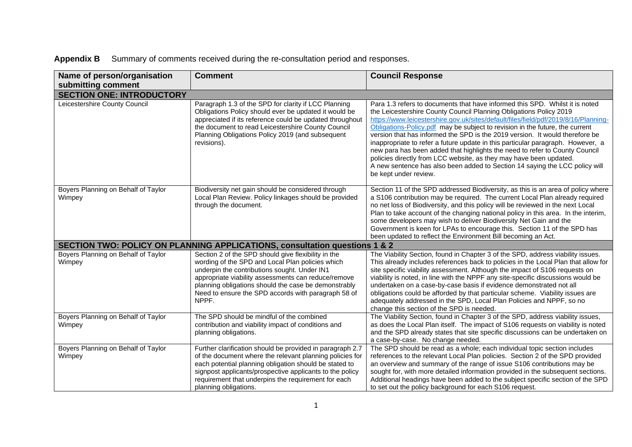| Name of person/organisation<br>submitting comment | <b>Comment</b>                                                                                                                                                                                                                                                                                                                         | <b>Council Response</b>                                                                                                                                                                                                                                                                                                                                                                                                                                                                                                                                                                                                                                                                                                                                   |
|---------------------------------------------------|----------------------------------------------------------------------------------------------------------------------------------------------------------------------------------------------------------------------------------------------------------------------------------------------------------------------------------------|-----------------------------------------------------------------------------------------------------------------------------------------------------------------------------------------------------------------------------------------------------------------------------------------------------------------------------------------------------------------------------------------------------------------------------------------------------------------------------------------------------------------------------------------------------------------------------------------------------------------------------------------------------------------------------------------------------------------------------------------------------------|
| <b>SECTION ONE: INTRODUCTORY</b>                  |                                                                                                                                                                                                                                                                                                                                        |                                                                                                                                                                                                                                                                                                                                                                                                                                                                                                                                                                                                                                                                                                                                                           |
| Leicestershire County Council                     | Paragraph 1.3 of the SPD for clarity if LCC Planning<br>Obligations Policy should ever be updated it would be<br>appreciated if its reference could be updated throughout<br>the document to read Leicestershire County Council<br>Planning Obligations Policy 2019 (and subsequent<br>revisions).                                     | Para 1.3 refers to documents that have informed this SPD. Whilst it is noted<br>the Leicestershire County Council Planning Obligations Policy 2019<br>https://www.leicestershire.gov.uk/sites/default/files/field/pdf/2019/8/16/Planning-<br>Obligations-Policy.pdf may be subject to revision in the future, the current<br>version that has informed the SPD is the 2019 version. It would therefore be<br>inappropriate to refer a future update in this particular paragraph. However, a<br>new para has been added that highlights the need to refer to County Council<br>policies directly from LCC website, as they may have been updated.<br>A new sentence has also been added to Section 14 saying the LCC policy will<br>be kept under review. |
| Boyers Planning on Behalf of Taylor<br>Wimpey     | Biodiversity net gain should be considered through<br>Local Plan Review. Policy linkages should be provided<br>through the document.                                                                                                                                                                                                   | Section 11 of the SPD addressed Biodiversity, as this is an area of policy where<br>a S106 contribution may be required. The current Local Plan already required<br>no net loss of Biodiversity, and this policy will be reviewed in the next Local<br>Plan to take account of the changing national policy in this area. In the interim,<br>some developers may wish to deliver Biodiversity Net Gain and the<br>Government is keen for LPAs to encourage this. Section 11 of the SPD has<br>been updated to reflect the Environment Bill becoming an Act.                                                                                                                                                                                               |
|                                                   | <b>SECTION TWO: POLICY ON PLANNING APPLICATIONS, consultation questions 1 &amp; 2</b>                                                                                                                                                                                                                                                  |                                                                                                                                                                                                                                                                                                                                                                                                                                                                                                                                                                                                                                                                                                                                                           |
| Boyers Planning on Behalf of Taylor<br>Wimpey     | Section 2 of the SPD should give flexibility in the<br>wording of the SPD and Local Plan policies which<br>underpin the contributions sought. Under IN1<br>appropriate viability assessments can reduce/remove<br>planning obligations should the case be demonstrably<br>Need to ensure the SPD accords with paragraph 58 of<br>NPPF. | The Viability Section, found in Chapter 3 of the SPD, address viability issues.<br>This already includes references back to policies in the Local Plan that allow for<br>site specific viability assessment. Although the impact of S106 requests on<br>viability is noted, in line with the NPPF any site-specific discussions would be<br>undertaken on a case-by-case basis if evidence demonstrated not all<br>obligations could be afforded by that particular scheme. Viability issues are<br>adequately addressed in the SPD, Local Plan Policies and NPPF, so no<br>change this section of the SPD is needed.                                                                                                                                     |
| Boyers Planning on Behalf of Taylor<br>Wimpey     | The SPD should be mindful of the combined<br>contribution and viability impact of conditions and<br>planning obligations.                                                                                                                                                                                                              | The Viability Section, found in Chapter 3 of the SPD, address viability issues,<br>as does the Local Plan itself. The impact of S106 requests on viability is noted<br>and the SPD already states that site specific discussions can be undertaken on<br>a case-by-case. No change needed.                                                                                                                                                                                                                                                                                                                                                                                                                                                                |
| Boyers Planning on Behalf of Taylor<br>Wimpey     | Further clarification should be provided in paragraph 2.7<br>of the document where the relevant planning policies for<br>each potential planning obligation should be stated to<br>signpost applicants/prospective applicants to the policy<br>requirement that underpins the requirement for each<br>planning obligations.            | The SPD should be read as a whole; each individual topic section includes<br>references to the relevant Local Plan policies. Section 2 of the SPD provided<br>an overview and summary of the range of issue S106 contributions may be<br>sought for, with more detailed information provided in the subsequent sections.<br>Additional headings have been added to the subject specific section of the SPD<br>to set out the policy background for each S106 request.                                                                                                                                                                                                                                                                                     |

|  | Appendix B Summary of comments received during the re-consultation period and responses. |  |
|--|------------------------------------------------------------------------------------------|--|
|  |                                                                                          |  |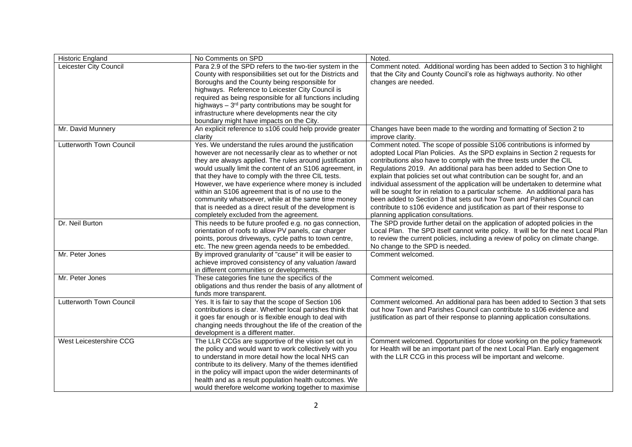| <b>Historic England</b>  | No Comments on SPD                                                                                                                                                                                                                                                                                                                                                                                                                                                                                                                                                   | Noted.                                                                                                                                                                                                                                                                                                                                                                                                                                                                                                                                                                                                                                                                                                                                               |
|--------------------------|----------------------------------------------------------------------------------------------------------------------------------------------------------------------------------------------------------------------------------------------------------------------------------------------------------------------------------------------------------------------------------------------------------------------------------------------------------------------------------------------------------------------------------------------------------------------|------------------------------------------------------------------------------------------------------------------------------------------------------------------------------------------------------------------------------------------------------------------------------------------------------------------------------------------------------------------------------------------------------------------------------------------------------------------------------------------------------------------------------------------------------------------------------------------------------------------------------------------------------------------------------------------------------------------------------------------------------|
| Leicester City Council   | Para 2.9 of the SPD refers to the two-tier system in the<br>County with responsibilities set out for the Districts and<br>Boroughs and the County being responsible for<br>highways. Reference to Leicester City Council is<br>required as being responsible for all functions including<br>highways $-3rd$ party contributions may be sought for<br>infrastructure where developments near the city<br>boundary might have impacts on the City.                                                                                                                     | Comment noted. Additional wording has been added to Section 3 to highlight<br>that the City and County Council's role as highways authority. No other<br>changes are needed.                                                                                                                                                                                                                                                                                                                                                                                                                                                                                                                                                                         |
| Mr. David Munnery        | An explicit reference to s106 could help provide greater<br>clarity                                                                                                                                                                                                                                                                                                                                                                                                                                                                                                  | Changes have been made to the wording and formatting of Section 2 to<br>improve clarity.                                                                                                                                                                                                                                                                                                                                                                                                                                                                                                                                                                                                                                                             |
| Lutterworth Town Council | Yes. We understand the rules around the justification<br>however are not necessarily clear as to whether or not<br>they are always applied. The rules around justification<br>would usually limit the content of an S106 agreement, in<br>that they have to comply with the three CIL tests.<br>However, we have experience where money is included<br>within an S106 agreement that is of no use to the<br>community whatsoever, while at the same time money<br>that is needed as a direct result of the development is<br>completely excluded from the agreement. | Comment noted. The scope of possible S106 contributions is informed by<br>adopted Local Plan Policies. As the SPD explains in Section 2 requests for<br>contributions also have to comply with the three tests under the CIL<br>Regulations 2019. An additional para has been added to Section One to<br>explain that policies set out what contribution can be sought for, and an<br>individual assessment of the application will be undertaken to determine what<br>will be sought for in relation to a particular scheme. An additional para has<br>been added to Section 3 that sets out how Town and Parishes Council can<br>contribute to s106 evidence and justification as part of their response to<br>planning application consultations. |
| Dr. Neil Burton          | This needs to be future proofed e.g. no gas connection,<br>orientation of roofs to allow PV panels, car charger<br>points, porous driveways, cycle paths to town centre,<br>etc. The new green agenda needs to be embedded.                                                                                                                                                                                                                                                                                                                                          | The SPD provide further detail on the application of adopted policies in the<br>Local Plan. The SPD itself cannot write policy. It will be for the next Local Plan<br>to review the current policies, including a review of policy on climate change.<br>No change to the SPD is needed.                                                                                                                                                                                                                                                                                                                                                                                                                                                             |
| Mr. Peter Jones          | By improved granularity of "cause" it will be easier to<br>achieve improved consistency of any valuation /award<br>in different communities or developments.                                                                                                                                                                                                                                                                                                                                                                                                         | Comment welcomed.                                                                                                                                                                                                                                                                                                                                                                                                                                                                                                                                                                                                                                                                                                                                    |
| Mr. Peter Jones          | These categories fine tune the specifics of the<br>obligations and thus render the basis of any allotment of<br>funds more transparent.                                                                                                                                                                                                                                                                                                                                                                                                                              | Comment welcomed.                                                                                                                                                                                                                                                                                                                                                                                                                                                                                                                                                                                                                                                                                                                                    |
| Lutterworth Town Council | Yes. It is fair to say that the scope of Section 106<br>contributions is clear. Whether local parishes think that<br>it goes far enough or is flexible enough to deal with<br>changing needs throughout the life of the creation of the<br>development is a different matter.                                                                                                                                                                                                                                                                                        | Comment welcomed. An additional para has been added to Section 3 that sets<br>out how Town and Parishes Council can contribute to s106 evidence and<br>justification as part of their response to planning application consultations.                                                                                                                                                                                                                                                                                                                                                                                                                                                                                                                |
| West Leicestershire CCG  | The LLR CCGs are supportive of the vision set out in<br>the policy and would want to work collectively with you<br>to understand in more detail how the local NHS can<br>contribute to its delivery. Many of the themes identified<br>in the policy will impact upon the wider determinants of<br>health and as a result population health outcomes. We<br>would therefore welcome working together to maximise                                                                                                                                                      | Comment welcomed. Opportunities for close working on the policy framework<br>for Health will be an important part of the next Local Plan. Early engagement<br>with the LLR CCG in this process will be important and welcome.                                                                                                                                                                                                                                                                                                                                                                                                                                                                                                                        |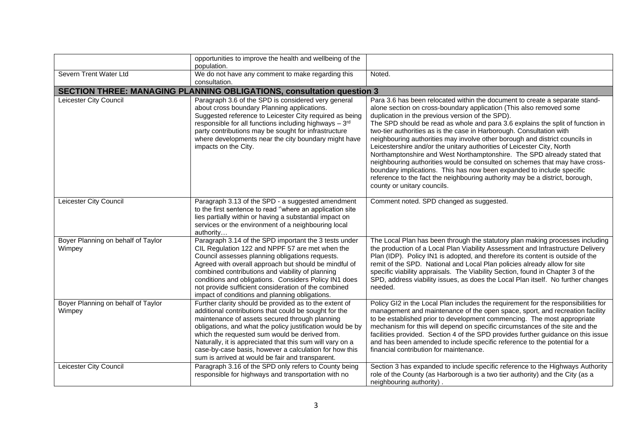|                                              | opportunities to improve the health and wellbeing of the<br>population.                                                                                                                                                                                                                                                                                                                                                                                      |                                                                                                                                                                                                                                                                                                                                                                                                                                                                                                                                                                                                                                                                                                                                                                                                                                                                             |
|----------------------------------------------|--------------------------------------------------------------------------------------------------------------------------------------------------------------------------------------------------------------------------------------------------------------------------------------------------------------------------------------------------------------------------------------------------------------------------------------------------------------|-----------------------------------------------------------------------------------------------------------------------------------------------------------------------------------------------------------------------------------------------------------------------------------------------------------------------------------------------------------------------------------------------------------------------------------------------------------------------------------------------------------------------------------------------------------------------------------------------------------------------------------------------------------------------------------------------------------------------------------------------------------------------------------------------------------------------------------------------------------------------------|
| Severn Trent Water Ltd                       | We do not have any comment to make regarding this<br>consultation.                                                                                                                                                                                                                                                                                                                                                                                           | Noted.                                                                                                                                                                                                                                                                                                                                                                                                                                                                                                                                                                                                                                                                                                                                                                                                                                                                      |
|                                              | <b>SECTION THREE: MANAGING PLANNING OBLIGATIONS, consultation question 3</b>                                                                                                                                                                                                                                                                                                                                                                                 |                                                                                                                                                                                                                                                                                                                                                                                                                                                                                                                                                                                                                                                                                                                                                                                                                                                                             |
| Leicester City Council                       | Paragraph 3.6 of the SPD is considered very general<br>about cross boundary Planning applications.<br>Suggested reference to Leicester City required as being<br>responsible for all functions including highways - 3rd<br>party contributions may be sought for infrastructure<br>where developments near the city boundary might have<br>impacts on the City.                                                                                              | Para 3.6 has been relocated within the document to create a separate stand-<br>alone section on cross-boundary application (This also removed some<br>duplication in the previous version of the SPD).<br>The SPD should be read as whole and para 3.6 explains the split of function in<br>two-tier authorities as is the case in Harborough. Consultation with<br>neighbouring authorities may involve other borough and district councils in<br>Leicestershire and/or the unitary authorities of Leicester City, North<br>Northamptonshire and West Northamptonshire. The SPD already stated that<br>neighbouring authorities would be consulted on schemes that may have cross-<br>boundary implications. This has now been expanded to include specific<br>reference to the fact the neighbouring authority may be a district, borough,<br>county or unitary councils. |
| Leicester City Council                       | Paragraph 3.13 of the SPD - a suggested amendment<br>to the first sentence to read "where an application site<br>lies partially within or having a substantial impact on<br>services or the environment of a neighbouring local<br>authority                                                                                                                                                                                                                 | Comment noted. SPD changed as suggested.                                                                                                                                                                                                                                                                                                                                                                                                                                                                                                                                                                                                                                                                                                                                                                                                                                    |
| Boyer Planning on behalf of Taylor<br>Wimpey | Paragraph 3.14 of the SPD important the 3 tests under<br>CIL Regulation 122 and NPPF 57 are met when the<br>Council assesses planning obligations requests.<br>Agreed with overall approach but should be mindful of<br>combined contributions and viability of planning<br>conditions and obligations. Considers Policy IN1 does<br>not provide sufficient consideration of the combined<br>impact of conditions and planning obligations.                  | The Local Plan has been through the statutory plan making processes including<br>the production of a Local Plan Viability Assessment and Infrastructure Delivery<br>Plan (IDP). Policy IN1 is adopted, and therefore its content is outside of the<br>remit of the SPD. National and Local Plan policies already allow for site<br>specific viability appraisals. The Viability Section, found in Chapter 3 of the<br>SPD, address viability issues, as does the Local Plan itself. No further changes<br>needed.                                                                                                                                                                                                                                                                                                                                                           |
| Boyer Planning on behalf of Taylor<br>Wimpey | Further clarity should be provided as to the extent of<br>additional contributions that could be sought for the<br>maintenance of assets secured through planning<br>obligations, and what the policy justification would be by<br>which the requested sum would be derived from.<br>Naturally, it is appreciated that this sum will vary on a<br>case-by-case basis, however a calculation for how this<br>sum is arrived at would be fair and transparent. | Policy GI2 in the Local Plan includes the requirement for the responsibilities for<br>management and maintenance of the open space, sport, and recreation facility<br>to be established prior to development commencing. The most appropriate<br>mechanism for this will depend on specific circumstances of the site and the<br>facilities provided. Section 4 of the SPD provides further guidance on this issue<br>and has been amended to include specific reference to the potential for a<br>financial contribution for maintenance.                                                                                                                                                                                                                                                                                                                                  |
| Leicester City Council                       | Paragraph 3.16 of the SPD only refers to County being<br>responsible for highways and transportation with no                                                                                                                                                                                                                                                                                                                                                 | Section 3 has expanded to include specific reference to the Highways Authority<br>role of the County (as Harborough is a two tier authority) and the City (as a<br>neighbouring authority).                                                                                                                                                                                                                                                                                                                                                                                                                                                                                                                                                                                                                                                                                 |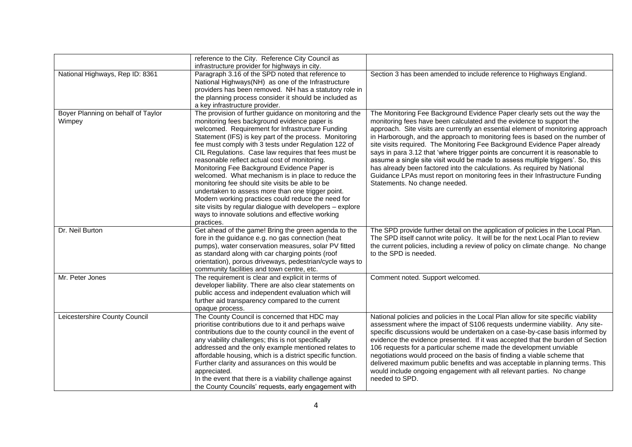|                                              | reference to the City. Reference City Council as<br>infrastructure provider for highways in city.                                                                                                                                                                                                                                                                                                                                                                                                                                                                                                                                                                                                                                                                                        |                                                                                                                                                                                                                                                                                                                                                                                                                                                                                                                                                                                                                                                                                                                                                                       |
|----------------------------------------------|------------------------------------------------------------------------------------------------------------------------------------------------------------------------------------------------------------------------------------------------------------------------------------------------------------------------------------------------------------------------------------------------------------------------------------------------------------------------------------------------------------------------------------------------------------------------------------------------------------------------------------------------------------------------------------------------------------------------------------------------------------------------------------------|-----------------------------------------------------------------------------------------------------------------------------------------------------------------------------------------------------------------------------------------------------------------------------------------------------------------------------------------------------------------------------------------------------------------------------------------------------------------------------------------------------------------------------------------------------------------------------------------------------------------------------------------------------------------------------------------------------------------------------------------------------------------------|
| National Highways, Rep ID: 8361              | Paragraph 3.16 of the SPD noted that reference to<br>National Highways(NH) as one of the Infrastructure<br>providers has been removed. NH has a statutory role in<br>the planning process consider it should be included as<br>a key infrastructure provider.                                                                                                                                                                                                                                                                                                                                                                                                                                                                                                                            | Section 3 has been amended to include reference to Highways England.                                                                                                                                                                                                                                                                                                                                                                                                                                                                                                                                                                                                                                                                                                  |
| Boyer Planning on behalf of Taylor<br>Wimpey | The provision of further guidance on monitoring and the<br>monitoring fees background evidence paper is<br>welcomed. Requirement for Infrastructure Funding<br>Statement (IFS) is key part of the process. Monitoring<br>fee must comply with 3 tests under Regulation 122 of<br>CIL Regulations. Case law requires that fees must be<br>reasonable reflect actual cost of monitoring.<br>Monitoring Fee Background Evidence Paper is<br>welcomed. What mechanism is in place to reduce the<br>monitoring fee should site visits be able to be<br>undertaken to assess more than one trigger point.<br>Modern working practices could reduce the need for<br>site visits by regular dialogue with developers - explore<br>ways to innovate solutions and effective working<br>practices. | The Monitoring Fee Background Evidence Paper clearly sets out the way the<br>monitoring fees have been calculated and the evidence to support the<br>approach. Site visits are currently an essential element of monitoring approach<br>in Harborough, and the approach to monitoring fees is based on the number of<br>site visits required. The Monitoring Fee Background Evidence Paper already<br>says in para 3.12 that 'where trigger points are concurrent it is reasonable to<br>assume a single site visit would be made to assess multiple triggers'. So, this<br>has already been factored into the calculations. As required by National<br>Guidance LPAs must report on monitoring fees in their Infrastructure Funding<br>Statements. No change needed. |
| Dr. Neil Burton                              | Get ahead of the game! Bring the green agenda to the<br>fore in the guidance e.g. no gas connection (heat<br>pumps), water conservation measures, solar PV fitted<br>as standard along with car charging points (roof<br>orientation), porous driveways, pedestrian/cycle ways to<br>community facilities and town centre, etc.                                                                                                                                                                                                                                                                                                                                                                                                                                                          | The SPD provide further detail on the application of policies in the Local Plan.<br>The SPD itself cannot write policy. It will be for the next Local Plan to review<br>the current policies, including a review of policy on climate change. No change<br>to the SPD is needed.                                                                                                                                                                                                                                                                                                                                                                                                                                                                                      |
| Mr. Peter Jones                              | The requirement is clear and explicit in terms of<br>developer liability. There are also clear statements on<br>public access and independent evaluation which will<br>further aid transparency compared to the current<br>opaque process.                                                                                                                                                                                                                                                                                                                                                                                                                                                                                                                                               | Comment noted. Support welcomed.                                                                                                                                                                                                                                                                                                                                                                                                                                                                                                                                                                                                                                                                                                                                      |
| Leicestershire County Council                | The County Council is concerned that HDC may<br>prioritise contributions due to it and perhaps waive<br>contributions due to the county council in the event of<br>any viability challenges; this is not specifically<br>addressed and the only example mentioned relates to<br>affordable housing, which is a district specific function.<br>Further clarity and assurances on this would be<br>appreciated.<br>In the event that there is a viability challenge against<br>the County Councils' requests, early engagement with                                                                                                                                                                                                                                                        | National policies and policies in the Local Plan allow for site specific viability<br>assessment where the impact of S106 requests undermine viability. Any site-<br>specific discussions would be undertaken on a case-by-case basis informed by<br>evidence the evidence presented. If it was accepted that the burden of Section<br>106 requests for a particular scheme made the development unviable<br>negotiations would proceed on the basis of finding a viable scheme that<br>delivered maximum public benefits and was acceptable in planning terms. This<br>would include ongoing engagement with all relevant parties. No change<br>needed to SPD.                                                                                                       |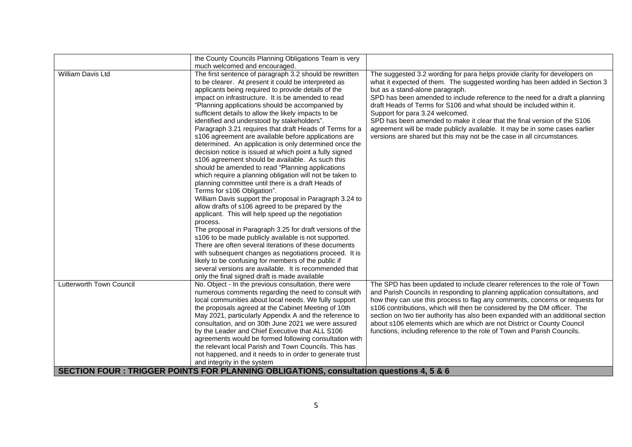|                                                                                         | the County Councils Planning Obligations Team is very<br>much welcomed and encouraged.                                                                                                                                                                                                                                                                                                                                                                                                                                                                                                                                                                                                                                                                                                                                                                                                                                                                                                                                                                                                                                                                                                                                                                                                                                                                                                                                            |                                                                                                                                                                                                                                                                                                                                                                                                                                                                                                                                                                                                                             |  |
|-----------------------------------------------------------------------------------------|-----------------------------------------------------------------------------------------------------------------------------------------------------------------------------------------------------------------------------------------------------------------------------------------------------------------------------------------------------------------------------------------------------------------------------------------------------------------------------------------------------------------------------------------------------------------------------------------------------------------------------------------------------------------------------------------------------------------------------------------------------------------------------------------------------------------------------------------------------------------------------------------------------------------------------------------------------------------------------------------------------------------------------------------------------------------------------------------------------------------------------------------------------------------------------------------------------------------------------------------------------------------------------------------------------------------------------------------------------------------------------------------------------------------------------------|-----------------------------------------------------------------------------------------------------------------------------------------------------------------------------------------------------------------------------------------------------------------------------------------------------------------------------------------------------------------------------------------------------------------------------------------------------------------------------------------------------------------------------------------------------------------------------------------------------------------------------|--|
| William Davis Ltd                                                                       | The first sentence of paragraph 3.2 should be rewritten<br>to be clearer. At present it could be interpreted as<br>applicants being required to provide details of the<br>impact on infrastructure. It is be amended to read<br>"Planning applications should be accompanied by<br>sufficient details to allow the likely impacts to be<br>identified and understood by stakeholders".<br>Paragraph 3.21 requires that draft Heads of Terms for a<br>s106 agreement are available before applications are<br>determined. An application is only determined once the<br>decision notice is issued at which point a fully signed<br>s106 agreement should be available. As such this<br>should be amended to read "Planning applications<br>which require a planning obligation will not be taken to<br>planning committee until there is a draft Heads of<br>Terms for s106 Obligation".<br>William Davis support the proposal in Paragraph 3.24 to<br>allow drafts of s106 agreed to be prepared by the<br>applicant. This will help speed up the negotiation<br>process.<br>The proposal in Paragraph 3.25 for draft versions of the<br>s106 to be made publicly available is not supported.<br>There are often several iterations of these documents<br>with subsequent changes as negotiations proceed. It is<br>likely to be confusing for members of the public if<br>several versions are available. It is recommended that | The suggested 3.2 wording for para helps provide clarity for developers on<br>what it expected of them. The suggested wording has been added in Section 3<br>but as a stand-alone paragraph.<br>SPD has been amended to include reference to the need for a draft a planning<br>draft Heads of Terms for S106 and what should be included within it.<br>Support for para 3.24 welcomed.<br>SPD has been amended to make it clear that the final version of the S106<br>agreement will be made publicly available. It may be in some cases earlier<br>versions are shared but this may not be the case in all circumstances. |  |
|                                                                                         | only the final signed draft is made available                                                                                                                                                                                                                                                                                                                                                                                                                                                                                                                                                                                                                                                                                                                                                                                                                                                                                                                                                                                                                                                                                                                                                                                                                                                                                                                                                                                     |                                                                                                                                                                                                                                                                                                                                                                                                                                                                                                                                                                                                                             |  |
| <b>Lutterworth Town Council</b>                                                         | No. Object - In the previous consultation, there were<br>numerous comments regarding the need to consult with<br>local communities about local needs. We fully support<br>the proposals agreed at the Cabinet Meeting of 10th<br>May 2021, particularly Appendix A and the reference to<br>consultation, and on 30th June 2021 we were assured<br>by the Leader and Chief Executive that ALL S106<br>agreements would be formed following consultation with<br>the relevant local Parish and Town Councils. This has<br>not happened, and it needs to in order to generate trust<br>and integrity in the system                                                                                                                                                                                                                                                                                                                                                                                                                                                                                                                                                                                                                                                                                                                                                                                                                   | The SPD has been updated to include clearer references to the role of Town<br>and Parish Councils in responding to planning application consultations, and<br>how they can use this process to flag any comments, concerns or requests for<br>s106 contributions, which will then be considered by the DM officer. The<br>section on two tier authority has also been expanded with an additional section<br>about s106 elements which are which are not District or County Council<br>functions, including reference to the role of Town and Parish Councils.                                                              |  |
| SECTION FOUR : TRIGGER POINTS FOR PLANNING OBLIGATIONS, consultation questions 4, 5 & 6 |                                                                                                                                                                                                                                                                                                                                                                                                                                                                                                                                                                                                                                                                                                                                                                                                                                                                                                                                                                                                                                                                                                                                                                                                                                                                                                                                                                                                                                   |                                                                                                                                                                                                                                                                                                                                                                                                                                                                                                                                                                                                                             |  |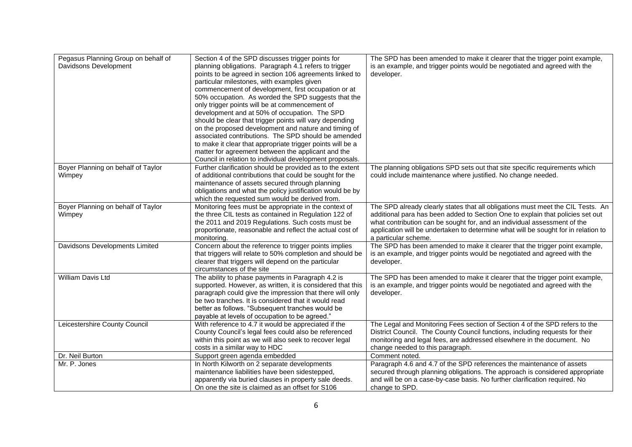| Pegasus Planning Group on behalf of<br>Davidsons Development | Section 4 of the SPD discusses trigger points for<br>planning obligations. Paragraph 4.1 refers to trigger<br>points to be agreed in section 106 agreements linked to<br>particular milestones, with examples given<br>commencement of development, first occupation or at<br>50% occupation. As worded the SPD suggests that the<br>only trigger points will be at commencement of<br>development and at 50% of occupation. The SPD<br>should be clear that trigger points will vary depending<br>on the proposed development and nature and timing of<br>associated contributions. The SPD should be amended<br>to make it clear that appropriate trigger points will be a<br>matter for agreement between the applicant and the<br>Council in relation to individual development proposals. | The SPD has been amended to make it clearer that the trigger point example,<br>is an example, and trigger points would be negotiated and agreed with the<br>developer.                                                                                                                                                                                      |
|--------------------------------------------------------------|------------------------------------------------------------------------------------------------------------------------------------------------------------------------------------------------------------------------------------------------------------------------------------------------------------------------------------------------------------------------------------------------------------------------------------------------------------------------------------------------------------------------------------------------------------------------------------------------------------------------------------------------------------------------------------------------------------------------------------------------------------------------------------------------|-------------------------------------------------------------------------------------------------------------------------------------------------------------------------------------------------------------------------------------------------------------------------------------------------------------------------------------------------------------|
| Boyer Planning on behalf of Taylor<br>Wimpey                 | Further clarification should be provided as to the extent<br>of additional contributions that could be sought for the<br>maintenance of assets secured through planning<br>obligations and what the policy justification would be by<br>which the requested sum would be derived from.                                                                                                                                                                                                                                                                                                                                                                                                                                                                                                         | The planning obligations SPD sets out that site specific requirements which<br>could include maintenance where justified. No change needed.                                                                                                                                                                                                                 |
| Boyer Planning on behalf of Taylor<br>Wimpey                 | Monitoring fees must be appropriate in the context of<br>the three CIL tests as contained in Regulation 122 of<br>the 2011 and 2019 Regulations. Such costs must be<br>proportionate, reasonable and reflect the actual cost of<br>monitoring.                                                                                                                                                                                                                                                                                                                                                                                                                                                                                                                                                 | The SPD already clearly states that all obligations must meet the CIL Tests. An<br>additional para has been added to Section One to explain that policies set out<br>what contribution can be sought for, and an individual assessment of the<br>application will be undertaken to determine what will be sought for in relation to<br>a particular scheme. |
| Davidsons Developments Limited                               | Concern about the reference to trigger points implies<br>that triggers will relate to 50% completion and should be<br>clearer that triggers will depend on the particular<br>circumstances of the site                                                                                                                                                                                                                                                                                                                                                                                                                                                                                                                                                                                         | The SPD has been amended to make it clearer that the trigger point example,<br>is an example, and trigger points would be negotiated and agreed with the<br>developer.                                                                                                                                                                                      |
| William Davis Ltd                                            | The ability to phase payments in Paragraph 4.2 is<br>supported. However, as written, it is considered that this<br>paragraph could give the impression that there will only<br>be two tranches. It is considered that it would read<br>better as follows. "Subsequent tranches would be<br>payable at levels of occupation to be agreed."                                                                                                                                                                                                                                                                                                                                                                                                                                                      | The SPD has been amended to make it clearer that the trigger point example,<br>is an example, and trigger points would be negotiated and agreed with the<br>developer.                                                                                                                                                                                      |
| Leicestershire County Council                                | With reference to 4.7 it would be appreciated if the<br>County Council's legal fees could also be referenced<br>within this point as we will also seek to recover legal<br>costs in a similar way to HDC                                                                                                                                                                                                                                                                                                                                                                                                                                                                                                                                                                                       | The Legal and Monitoring Fees section of Section 4 of the SPD refers to the<br>District Council. The County Council functions, including requests for their<br>monitoring and legal fees, are addressed elsewhere in the document. No<br>change needed to this paragraph.                                                                                   |
| Dr. Neil Burton                                              | Support green agenda embedded                                                                                                                                                                                                                                                                                                                                                                                                                                                                                                                                                                                                                                                                                                                                                                  | Comment noted.                                                                                                                                                                                                                                                                                                                                              |
| Mr. P. Jones                                                 | In North Kilworth on 2 separate developments<br>maintenance liabilities have been sidestepped,<br>apparently via buried clauses in property sale deeds.<br>On one the site is claimed as an offset for S106                                                                                                                                                                                                                                                                                                                                                                                                                                                                                                                                                                                    | Paragraph 4.6 and 4.7 of the SPD references the maintenance of assets<br>secured through planning obligations. The approach is considered appropriate<br>and will be on a case-by-case basis. No further clarification required. No<br>change to SPD.                                                                                                       |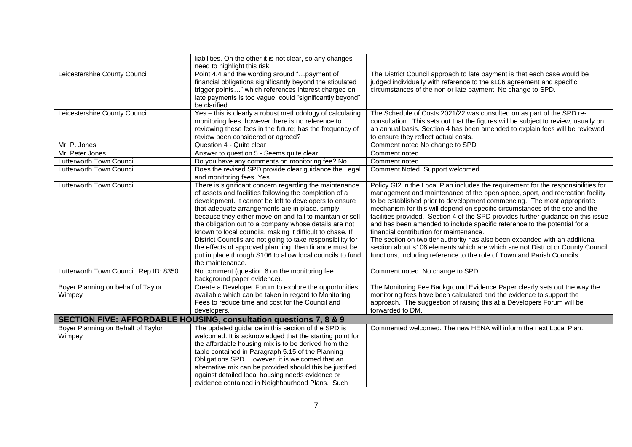|                                        | liabilities. On the other it is not clear, so any changes                    |                                                                                    |
|----------------------------------------|------------------------------------------------------------------------------|------------------------------------------------------------------------------------|
|                                        | need to highlight this risk.                                                 |                                                                                    |
| Leicestershire County Council          | Point 4.4 and the wording around "payment of                                 | The District Council approach to late payment is that each case would be           |
|                                        | financial obligations significantly beyond the stipulated                    | judged individually with reference to the s106 agreement and specific              |
|                                        | trigger points" which references interest charged on                         | circumstances of the non or late payment. No change to SPD.                        |
|                                        | late payments is too vague; could "significantly beyond"                     |                                                                                    |
|                                        | be clarified                                                                 |                                                                                    |
| Leicestershire County Council          | Yes - this is clearly a robust methodology of calculating                    | The Schedule of Costs 2021/22 was consulted on as part of the SPD re-              |
|                                        | monitoring fees, however there is no reference to                            | consultation. This sets out that the figures will be subject to review, usually on |
|                                        | reviewing these fees in the future; has the frequency of                     | an annual basis. Section 4 has been amended to explain fees will be reviewed       |
|                                        | review been considered or agreed?                                            | to ensure they reflect actual costs.                                               |
| Mr. P. Jones                           | Question 4 - Quite clear                                                     | Comment noted No change to SPD                                                     |
| Mr.Peter Jones                         | Answer to question 5 - Seems quite clear.                                    | Comment noted                                                                      |
| Lutterworth Town Council               | Do you have any comments on monitoring fee? No                               | Comment noted                                                                      |
| Lutterworth Town Council               | Does the revised SPD provide clear guidance the Legal                        | Comment Noted. Support welcomed                                                    |
|                                        | and monitoring fees. Yes.                                                    |                                                                                    |
| Lutterworth Town Council               | There is significant concern regarding the maintenance                       | Policy GI2 in the Local Plan includes the requirement for the responsibilities for |
|                                        | of assets and facilities following the completion of a                       | management and maintenance of the open space, sport, and recreation facility       |
|                                        | development. It cannot be left to developers to ensure                       | to be established prior to development commencing. The most appropriate            |
|                                        | that adequate arrangements are in place, simply                              | mechanism for this will depend on specific circumstances of the site and the       |
|                                        | because they either move on and fail to maintain or sell                     | facilities provided. Section 4 of the SPD provides further guidance on this issue  |
|                                        | the obligation out to a company whose details are not                        | and has been amended to include specific reference to the potential for a          |
|                                        | known to local councils, making it difficult to chase. If                    | financial contribution for maintenance.                                            |
|                                        | District Councils are not going to take responsibility for                   | The section on two tier authority has also been expanded with an additional        |
|                                        | the effects of approved planning, then finance must be                       | section about s106 elements which are which are not District or County Council     |
|                                        | put in place through S106 to allow local councils to fund                    | functions, including reference to the role of Town and Parish Councils.            |
|                                        | the maintenance.                                                             |                                                                                    |
| Lutterworth Town Council, Rep ID: 8350 | No comment (question 6 on the monitoring fee                                 | Comment noted. No change to SPD.                                                   |
|                                        | background paper evidence).                                                  |                                                                                    |
| Boyer Planning on behalf of Taylor     | Create a Developer Forum to explore the opportunities                        | The Monitoring Fee Background Evidence Paper clearly sets out the way the          |
| Wimpey                                 | available which can be taken in regard to Monitoring                         | monitoring fees have been calculated and the evidence to support the               |
|                                        | Fees to reduce time and cost for the Council and                             | approach. The suggestion of raising this at a Developers Forum will be             |
|                                        | developers.                                                                  | forwarded to DM.                                                                   |
|                                        | <b>SECTION FIVE: AFFORDABLE HOUSING, consultation questions 7, 8 &amp; 9</b> |                                                                                    |
| Boyer Planning on Behalf of Taylor     | The updated guidance in this section of the SPD is                           | Commented welcomed. The new HENA will inform the next Local Plan.                  |
| Wimpey                                 | welcomed. It is acknowledged that the starting point for                     |                                                                                    |
|                                        | the affordable housing mix is to be derived from the                         |                                                                                    |
|                                        | table contained in Paragraph 5.15 of the Planning                            |                                                                                    |
|                                        | Obligations SPD. However, it is welcomed that an                             |                                                                                    |
|                                        | alternative mix can be provided should this be justified                     |                                                                                    |
|                                        | against detailed local housing needs evidence or                             |                                                                                    |
|                                        | evidence contained in Neighbourhood Plans. Such                              |                                                                                    |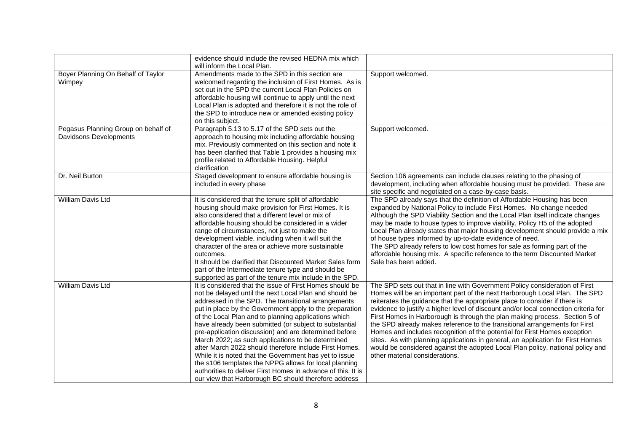|                                                               | evidence should include the revised HEDNA mix which<br>will inform the Local Plan.                                                                                                                                                                                                                                                                                                                                                                                                                                                                                                                                                                                                                                                                                        |                                                                                                                                                                                                                                                                                                                                                                                                                                                                                                                                                                                                                                                                                                                                                                                |
|---------------------------------------------------------------|---------------------------------------------------------------------------------------------------------------------------------------------------------------------------------------------------------------------------------------------------------------------------------------------------------------------------------------------------------------------------------------------------------------------------------------------------------------------------------------------------------------------------------------------------------------------------------------------------------------------------------------------------------------------------------------------------------------------------------------------------------------------------|--------------------------------------------------------------------------------------------------------------------------------------------------------------------------------------------------------------------------------------------------------------------------------------------------------------------------------------------------------------------------------------------------------------------------------------------------------------------------------------------------------------------------------------------------------------------------------------------------------------------------------------------------------------------------------------------------------------------------------------------------------------------------------|
| Boyer Planning On Behalf of Taylor<br>Wimpey                  | Amendments made to the SPD in this section are<br>welcomed regarding the inclusion of First Homes. As is<br>set out in the SPD the current Local Plan Policies on<br>affordable housing will continue to apply until the next<br>Local Plan is adopted and therefore it is not the role of<br>the SPD to introduce new or amended existing policy<br>on this subject.                                                                                                                                                                                                                                                                                                                                                                                                     | Support welcomed.                                                                                                                                                                                                                                                                                                                                                                                                                                                                                                                                                                                                                                                                                                                                                              |
| Pegasus Planning Group on behalf of<br>Davidsons Developments | Paragraph 5.13 to 5.17 of the SPD sets out the<br>approach to housing mix including affordable housing<br>mix. Previously commented on this section and note it<br>has been clarified that Table 1 provides a housing mix<br>profile related to Affordable Housing. Helpful<br>clarification                                                                                                                                                                                                                                                                                                                                                                                                                                                                              | Support welcomed.                                                                                                                                                                                                                                                                                                                                                                                                                                                                                                                                                                                                                                                                                                                                                              |
| Dr. Neil Burton                                               | Staged development to ensure affordable housing is<br>included in every phase                                                                                                                                                                                                                                                                                                                                                                                                                                                                                                                                                                                                                                                                                             | Section 106 agreements can include clauses relating to the phasing of<br>development, including when affordable housing must be provided. These are<br>site specific and negotiated on a case-by-case basis.                                                                                                                                                                                                                                                                                                                                                                                                                                                                                                                                                                   |
| William Davis Ltd                                             | It is considered that the tenure split of affordable<br>housing should make provision for First Homes. It is<br>also considered that a different level or mix of<br>affordable housing should be considered in a wider<br>range of circumstances, not just to make the<br>development viable, including when it will suit the<br>character of the area or achieve more sustainable<br>outcomes.<br>It should be clarified that Discounted Market Sales form<br>part of the Intermediate tenure type and should be<br>supported as part of the tenure mix include in the SPD.                                                                                                                                                                                              | The SPD already says that the definition of Affordable Housing has been<br>expanded by National Policy to include First Homes. No change needed<br>Although the SPD Viability Section and the Local Plan itself indicate changes<br>may be made to house types to improve viability, Policy H5 of the adopted<br>Local Plan already states that major housing development should provide a mix<br>of house types informed by up-to-date evidence of need.<br>The SPD already refers to low cost homes for sale as forming part of the<br>affordable housing mix. A specific reference to the term Discounted Market<br>Sale has been added.                                                                                                                                    |
| William Davis Ltd                                             | It is considered that the issue of First Homes should be<br>not be delayed until the next Local Plan and should be<br>addressed in the SPD. The transitional arrangements<br>put in place by the Government apply to the preparation<br>of the Local Plan and to planning applications which<br>have already been submitted (or subject to substantial<br>pre-application discussion) and are determined before<br>March 2022; as such applications to be determined<br>after March 2022 should therefore include First Homes.<br>While it is noted that the Government has yet to issue<br>the s106 templates the NPPG allows for local planning<br>authorities to deliver First Homes in advance of this. It is<br>our view that Harborough BC should therefore address | The SPD sets out that in line with Government Policy consideration of First<br>Homes will be an important part of the next Harborough Local Plan. The SPD<br>reiterates the guidance that the appropriate place to consider if there is<br>evidence to justify a higher level of discount and/or local connection criteria for<br>First Homes in Harborough is through the plan making process. Section 5 of<br>the SPD already makes reference to the transitional arrangements for First<br>Homes and includes recognition of the potential for First Homes exception<br>sites. As with planning applications in general, an application for First Homes<br>would be considered against the adopted Local Plan policy, national policy and<br>other material considerations. |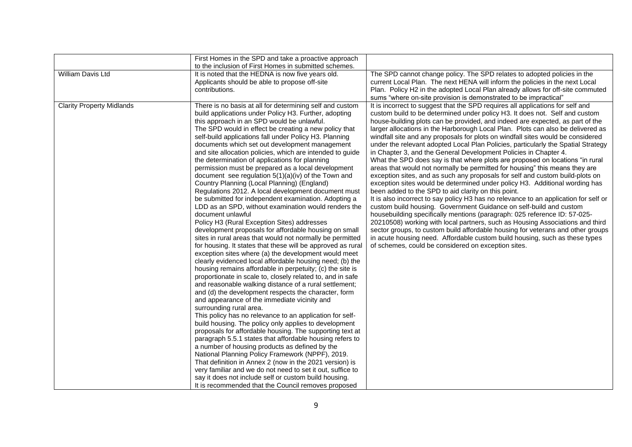|                                  | First Homes in the SPD and take a proactive approach<br>to the inclusion of First Homes in submitted schemes.                                                                                                                                                                                                                                                                                                                                                                                                                                                                                                                                                                                                                                                                                                                                                                                                                                                                                                                                                                                                                                                                                                                                                                                                                                                                                                                                                                                                                                                                                                                                                                                                                                                                                                                                                                                                                                                                                                                                                                             |                                                                                                                                                                                                                                                                                                                                                                                                                                                                                                                                                                                                                                                                                                                                                                                                                                                                                                                                                                                                                                                                                                                                                                                                                                                                                                                                                                                                                                                                                                                           |
|----------------------------------|-------------------------------------------------------------------------------------------------------------------------------------------------------------------------------------------------------------------------------------------------------------------------------------------------------------------------------------------------------------------------------------------------------------------------------------------------------------------------------------------------------------------------------------------------------------------------------------------------------------------------------------------------------------------------------------------------------------------------------------------------------------------------------------------------------------------------------------------------------------------------------------------------------------------------------------------------------------------------------------------------------------------------------------------------------------------------------------------------------------------------------------------------------------------------------------------------------------------------------------------------------------------------------------------------------------------------------------------------------------------------------------------------------------------------------------------------------------------------------------------------------------------------------------------------------------------------------------------------------------------------------------------------------------------------------------------------------------------------------------------------------------------------------------------------------------------------------------------------------------------------------------------------------------------------------------------------------------------------------------------------------------------------------------------------------------------------------------------|---------------------------------------------------------------------------------------------------------------------------------------------------------------------------------------------------------------------------------------------------------------------------------------------------------------------------------------------------------------------------------------------------------------------------------------------------------------------------------------------------------------------------------------------------------------------------------------------------------------------------------------------------------------------------------------------------------------------------------------------------------------------------------------------------------------------------------------------------------------------------------------------------------------------------------------------------------------------------------------------------------------------------------------------------------------------------------------------------------------------------------------------------------------------------------------------------------------------------------------------------------------------------------------------------------------------------------------------------------------------------------------------------------------------------------------------------------------------------------------------------------------------------|
| William Davis Ltd                | It is noted that the HEDNA is now five years old.<br>Applicants should be able to propose off-site<br>contributions.                                                                                                                                                                                                                                                                                                                                                                                                                                                                                                                                                                                                                                                                                                                                                                                                                                                                                                                                                                                                                                                                                                                                                                                                                                                                                                                                                                                                                                                                                                                                                                                                                                                                                                                                                                                                                                                                                                                                                                      | The SPD cannot change policy. The SPD relates to adopted policies in the<br>current Local Plan. The next HENA will inform the policies in the next Local<br>Plan. Policy H2 in the adopted Local Plan already allows for off-site commuted<br>sums "where on-site provision is demonstrated to be impractical"                                                                                                                                                                                                                                                                                                                                                                                                                                                                                                                                                                                                                                                                                                                                                                                                                                                                                                                                                                                                                                                                                                                                                                                                            |
| <b>Clarity Property Midlands</b> | There is no basis at all for determining self and custom<br>build applications under Policy H3. Further, adopting<br>this approach in an SPD would be unlawful.<br>The SPD would in effect be creating a new policy that<br>self-build applications fall under Policy H3. Planning<br>documents which set out development management<br>and site allocation policies, which are intended to guide<br>the determination of applications for planning<br>permission must be prepared as a local development<br>document see regulation $5(1)(a)(iv)$ of the Town and<br>Country Planning (Local Planning) (England)<br>Regulations 2012. A local development document must<br>be submitted for independent examination. Adopting a<br>LDD as an SPD, without examination would renders the<br>document unlawful<br>Policy H3 (Rural Exception Sites) addresses<br>development proposals for affordable housing on small<br>sites in rural areas that would not normally be permitted<br>for housing. It states that these will be approved as rural<br>exception sites where (a) the development would meet<br>clearly evidenced local affordable housing need; (b) the<br>housing remains affordable in perpetuity; (c) the site is<br>proportionate in scale to, closely related to, and in safe<br>and reasonable walking distance of a rural settlement;<br>and (d) the development respects the character, form<br>and appearance of the immediate vicinity and<br>surrounding rural area.<br>This policy has no relevance to an application for self-<br>build housing. The policy only applies to development<br>proposals for affordable housing. The supporting text at<br>paragraph 5.5.1 states that affordable housing refers to<br>a number of housing products as defined by the<br>National Planning Policy Framework (NPPF), 2019.<br>That definition in Annex 2 (now in the 2021 version) is<br>very familiar and we do not need to set it out, suffice to<br>say it does not include self or custom build housing.<br>It is recommended that the Council removes proposed | It is incorrect to suggest that the SPD requires all applications for self and<br>custom build to be determined under policy H3. It does not. Self and custom<br>house-building plots can be provided, and indeed are expected, as part of the<br>larger allocations in the Harborough Local Plan. Plots can also be delivered as<br>windfall site and any proposals for plots on windfall sites would be considered<br>under the relevant adopted Local Plan Policies, particularly the Spatial Strategy<br>in Chapter 3, and the General Development Policies in Chapter 4.<br>What the SPD does say is that where plots are proposed on locations "in rural<br>areas that would not normally be permitted for housing" this means they are<br>exception sites, and as such any proposals for self and custom build-plots on<br>exception sites would be determined under policy H3. Additional wording has<br>been added to the SPD to aid clarity on this point.<br>It is also incorrect to say policy H3 has no relevance to an application for self or<br>custom build housing. Government Guidance on self-build and custom<br>housebuilding specifically mentions (paragraph: 025 reference ID: 57-025-<br>20210508) working with local partners, such as Housing Associations and third<br>sector groups, to custom build affordable housing for veterans and other groups<br>in acute housing need. Affordable custom build housing, such as these types<br>of schemes, could be considered on exception sites. |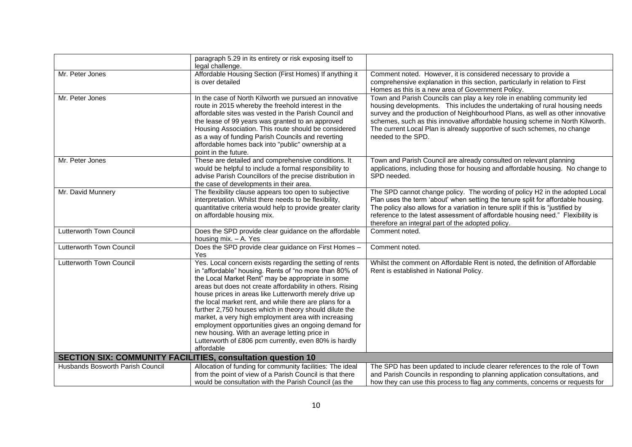|                                                                    | paragraph 5.29 in its entirety or risk exposing itself to<br>legal challenge.                                                                                                                                                                                                                                                                                                                                                                                                                                                                                                                                                                             |                                                                                                                                                                                                                                                                                                                                                                                                                         |
|--------------------------------------------------------------------|-----------------------------------------------------------------------------------------------------------------------------------------------------------------------------------------------------------------------------------------------------------------------------------------------------------------------------------------------------------------------------------------------------------------------------------------------------------------------------------------------------------------------------------------------------------------------------------------------------------------------------------------------------------|-------------------------------------------------------------------------------------------------------------------------------------------------------------------------------------------------------------------------------------------------------------------------------------------------------------------------------------------------------------------------------------------------------------------------|
| Mr. Peter Jones                                                    | Affordable Housing Section (First Homes) If anything it<br>is over detailed                                                                                                                                                                                                                                                                                                                                                                                                                                                                                                                                                                               | Comment noted. However, it is considered necessary to provide a<br>comprehensive explanation in this section, particularly in relation to First<br>Homes as this is a new area of Government Policy.                                                                                                                                                                                                                    |
| Mr. Peter Jones                                                    | In the case of North Kilworth we pursued an innovative<br>route in 2015 whereby the freehold interest in the<br>affordable sites was vested in the Parish Council and<br>the lease of 99 years was granted to an approved<br>Housing Association. This route should be considered<br>as a way of funding Parish Councils and reverting<br>affordable homes back into "public" ownership at a<br>point in the future.                                                                                                                                                                                                                                      | Town and Parish Councils can play a key role in enabling community led<br>housing developments. This includes the undertaking of rural housing needs<br>survey and the production of Neighbourhood Plans, as well as other innovative<br>schemes, such as this innovative affordable housing scheme in North Kilworth.<br>The current Local Plan is already supportive of such schemes, no change<br>needed to the SPD. |
| Mr. Peter Jones                                                    | These are detailed and comprehensive conditions. It<br>would be helpful to include a formal responsibility to<br>advise Parish Councillors of the precise distribution in<br>the case of developments in their area.                                                                                                                                                                                                                                                                                                                                                                                                                                      | Town and Parish Council are already consulted on relevant planning<br>applications, including those for housing and affordable housing. No change to<br>SPD needed.                                                                                                                                                                                                                                                     |
| Mr. David Munnery                                                  | The flexibility clause appears too open to subjective<br>interpretation. Whilst there needs to be flexibility,<br>quantitative criteria would help to provide greater clarity<br>on affordable housing mix.                                                                                                                                                                                                                                                                                                                                                                                                                                               | The SPD cannot change policy. The wording of policy H2 in the adopted Local<br>Plan uses the term 'about' when setting the tenure split for affordable housing.<br>The policy also allows for a variation in tenure split if this is "justified by<br>reference to the latest assessment of affordable housing need." Flexibility is<br>therefore an integral part of the adopted policy.                               |
| Lutterworth Town Council                                           | Does the SPD provide clear guidance on the affordable<br>housing $mix. - A. Yes$                                                                                                                                                                                                                                                                                                                                                                                                                                                                                                                                                                          | Comment noted.                                                                                                                                                                                                                                                                                                                                                                                                          |
| Lutterworth Town Council                                           | Does the SPD provide clear guidance on First Homes -<br>Yes                                                                                                                                                                                                                                                                                                                                                                                                                                                                                                                                                                                               | Comment noted.                                                                                                                                                                                                                                                                                                                                                                                                          |
| Lutterworth Town Council                                           | Yes. Local concern exists regarding the setting of rents<br>in "affordable" housing. Rents of "no more than 80% of<br>the Local Market Rent" may be appropriate in some<br>areas but does not create affordability in others. Rising<br>house prices in areas like Lutterworth merely drive up<br>the local market rent, and while there are plans for a<br>further 2,750 houses which in theory should dilute the<br>market, a very high employment area with increasing<br>employment opportunities gives an ongoing demand for<br>new housing. With an average letting price in<br>Lutterworth of £806 pcm currently, even 80% is hardly<br>affordable | Whilst the comment on Affordable Rent is noted, the definition of Affordable<br>Rent is established in National Policy.                                                                                                                                                                                                                                                                                                 |
| <b>SECTION SIX: COMMUNITY FACILITIES, consultation question 10</b> |                                                                                                                                                                                                                                                                                                                                                                                                                                                                                                                                                                                                                                                           |                                                                                                                                                                                                                                                                                                                                                                                                                         |
| Husbands Bosworth Parish Council                                   | Allocation of funding for community facilities: The ideal<br>from the point of view of a Parish Council is that there<br>would be consultation with the Parish Council (as the                                                                                                                                                                                                                                                                                                                                                                                                                                                                            | The SPD has been updated to include clearer references to the role of Town<br>and Parish Councils in responding to planning application consultations, and<br>how they can use this process to flag any comments, concerns or requests for                                                                                                                                                                              |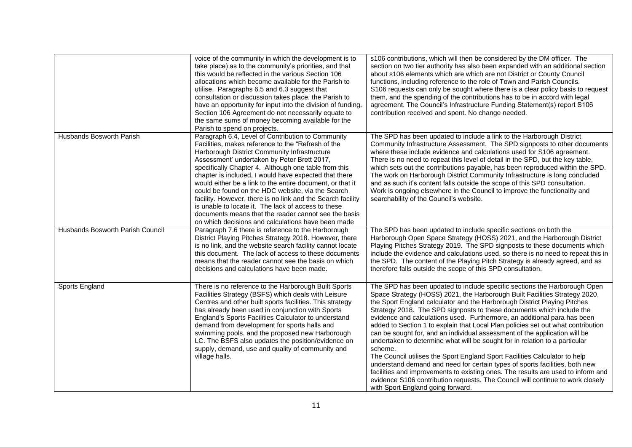|                                         | voice of the community in which the development is to<br>take place) as to the community's priorities, and that<br>this would be reflected in the various Section 106<br>allocations which become available for the Parish to<br>utilise. Paragraphs 6.5 and 6.3 suggest that<br>consultation or discussion takes place, the Parish to<br>have an opportunity for input into the division of funding.<br>Section 106 Agreement do not necessarily equate to<br>the same sums of money becoming available for the<br>Parish to spend on projects.                                                                                                                              | s106 contributions, which will then be considered by the DM officer. The<br>section on two tier authority has also been expanded with an additional section<br>about s106 elements which are which are not District or County Council<br>functions, including reference to the role of Town and Parish Councils.<br>S106 requests can only be sought where there is a clear policy basis to request<br>them, and the spending of the contributions has to be in accord with legal<br>agreement. The Council's Infrastructure Funding Statement(s) report S106<br>contribution received and spent. No change needed.                                                                                                                                                                                                                                                                                                                                                                                                          |
|-----------------------------------------|-------------------------------------------------------------------------------------------------------------------------------------------------------------------------------------------------------------------------------------------------------------------------------------------------------------------------------------------------------------------------------------------------------------------------------------------------------------------------------------------------------------------------------------------------------------------------------------------------------------------------------------------------------------------------------|------------------------------------------------------------------------------------------------------------------------------------------------------------------------------------------------------------------------------------------------------------------------------------------------------------------------------------------------------------------------------------------------------------------------------------------------------------------------------------------------------------------------------------------------------------------------------------------------------------------------------------------------------------------------------------------------------------------------------------------------------------------------------------------------------------------------------------------------------------------------------------------------------------------------------------------------------------------------------------------------------------------------------|
| <b>Husbands Bosworth Parish</b>         | Paragraph 6.4, Level of Contribution to Community<br>Facilities, makes reference to the "Refresh of the<br>Harborough District Community Infrastructure<br>Assessment' undertaken by Peter Brett 2017,<br>specifically Chapter 4. Although one table from this<br>chapter is included, I would have expected that there<br>would either be a link to the entire document, or that it<br>could be found on the HDC website, via the Search<br>facility. However, there is no link and the Search facility<br>is unable to locate it. The lack of access to these<br>documents means that the reader cannot see the basis<br>on which decisions and calculations have been made | The SPD has been updated to include a link to the Harborough District<br>Community Infrastructure Assessment. The SPD signposts to other documents<br>where these include evidence and calculations used for S106 agreement.<br>There is no need to repeat this level of detail in the SPD, but the key table,<br>which sets out the contributions payable, has been reproduced within the SPD.<br>The work on Harborough District Community Infrastructure is long concluded<br>and as such it's content falls outside the scope of this SPD consultation.<br>Work is ongoing elsewhere in the Council to improve the functionality and<br>searchability of the Council's website.                                                                                                                                                                                                                                                                                                                                          |
| <b>Husbands Bosworth Parish Council</b> | Paragraph 7.6 there is reference to the Harborough<br>District Playing Pitches Strategy 2018. However, there<br>is no link, and the website search facility cannot locate<br>this document. The lack of access to these documents<br>means that the reader cannot see the basis on which<br>decisions and calculations have been made.                                                                                                                                                                                                                                                                                                                                        | The SPD has been updated to include specific sections on both the<br>Harborough Open Space Strategy (HOSS) 2021, and the Harborough District<br>Playing Pitches Strategy 2019. The SPD signposts to these documents which<br>include the evidence and calculations used, so there is no need to repeat this in<br>the SPD. The content of the Playing Pitch Strategy is already agreed, and as<br>therefore falls outside the scope of this SPD consultation.                                                                                                                                                                                                                                                                                                                                                                                                                                                                                                                                                                |
| Sports England                          | There is no reference to the Harborough Built Sports<br>Facilities Strategy (BSFS) which deals with Leisure<br>Centres and other built sports facilities. This strategy<br>has already been used in conjunction with Sports<br>England's Sports Facilities Calculator to understand<br>demand from development for sports halls and<br>swimming pools. and the proposed new Harborough<br>LC. The BSFS also updates the position/evidence on<br>supply, demand, use and quality of community and<br>village halls.                                                                                                                                                            | The SPD has been updated to include specific sections the Harborough Open<br>Space Strategy (HOSS) 2021, the Harborough Built Facilities Strategy 2020,<br>the Sport England calculator and the Harborough District Playing Pitches<br>Strategy 2018. The SPD signposts to these documents which include the<br>evidence and calculations used. Furthermore, an additional para has been<br>added to Section 1 to explain that Local Plan policies set out what contribution<br>can be sought for, and an individual assessment of the application will be<br>undertaken to determine what will be sought for in relation to a particular<br>scheme.<br>The Council utilises the Sport England Sport Facilities Calculator to help<br>understand demand and need for certain types of sports facilities, both new<br>facilities and improvements to existing ones. The results are used to inform and<br>evidence S106 contribution requests. The Council will continue to work closely<br>with Sport England going forward. |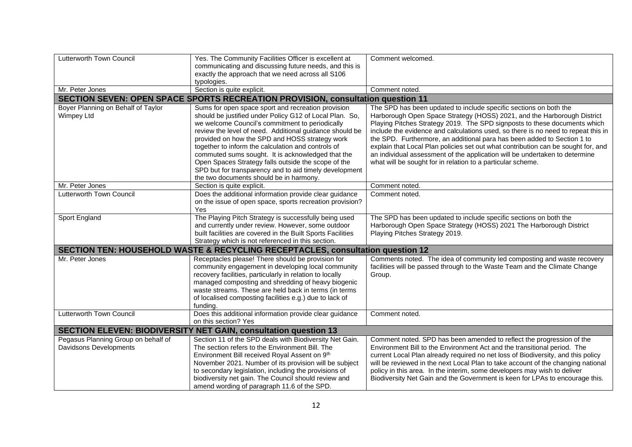| Lutterworth Town Council            | Yes. The Community Facilities Officer is excellent at                           | Comment welcomed.                                                                 |  |  |  |
|-------------------------------------|---------------------------------------------------------------------------------|-----------------------------------------------------------------------------------|--|--|--|
|                                     | communicating and discussing future needs, and this is                          |                                                                                   |  |  |  |
|                                     | exactly the approach that we need across all S106                               |                                                                                   |  |  |  |
|                                     | typologies.                                                                     |                                                                                   |  |  |  |
| Mr. Peter Jones                     | Section is quite explicit.                                                      | Comment noted.                                                                    |  |  |  |
|                                     | SECTION SEVEN: OPEN SPACE SPORTS RECREATION PROVISION, consultation question 11 |                                                                                   |  |  |  |
| Boyer Planning on Behalf of Taylor  | Sums for open space sport and recreation provision                              | The SPD has been updated to include specific sections on both the                 |  |  |  |
| Wimpey Ltd                          | should be justified under Policy G12 of Local Plan. So,                         | Harborough Open Space Strategy (HOSS) 2021, and the Harborough District           |  |  |  |
|                                     | we welcome Council's commitment to periodically                                 | Playing Pitches Strategy 2019. The SPD signposts to these documents which         |  |  |  |
|                                     | review the level of need. Additional guidance should be                         | include the evidence and calculations used, so there is no need to repeat this in |  |  |  |
|                                     | provided on how the SPD and HOSS strategy work                                  | the SPD. Furthermore, an additional para has been added to Section 1 to           |  |  |  |
|                                     | together to inform the calculation and controls of                              | explain that Local Plan policies set out what contribution can be sought for, and |  |  |  |
|                                     | commuted sums sought. It is acknowledged that the                               | an individual assessment of the application will be undertaken to determine       |  |  |  |
|                                     | Open Spaces Strategy falls outside the scope of the                             | what will be sought for in relation to a particular scheme.                       |  |  |  |
|                                     | SPD but for transparency and to aid timely development                          |                                                                                   |  |  |  |
|                                     | the two documents should be in harmony.                                         |                                                                                   |  |  |  |
| Mr. Peter Jones                     | Section is quite explicit.                                                      | Comment noted.                                                                    |  |  |  |
| Lutterworth Town Council            | Does the additional information provide clear guidance                          | Comment noted.                                                                    |  |  |  |
|                                     | on the issue of open space, sports recreation provision?                        |                                                                                   |  |  |  |
|                                     | Yes                                                                             |                                                                                   |  |  |  |
| Sport England                       | The Playing Pitch Strategy is successfully being used                           | The SPD has been updated to include specific sections on both the                 |  |  |  |
|                                     | and currently under review. However, some outdoor                               | Harborough Open Space Strategy (HOSS) 2021 The Harborough District                |  |  |  |
|                                     | built facilities are covered in the Built Sports Facilities                     | Playing Pitches Strategy 2019.                                                    |  |  |  |
|                                     | Strategy which is not referenced in this section.                               |                                                                                   |  |  |  |
|                                     | SECTION TEN: HOUSEHOLD WASTE & RECYCLING RECEPTACLES, consultation question 12  |                                                                                   |  |  |  |
| Mr. Peter Jones                     | Receptacles please! There should be provision for                               | Comments noted. The idea of community led composting and waste recovery           |  |  |  |
|                                     | community engagement in developing local community                              | facilities will be passed through to the Waste Team and the Climate Change        |  |  |  |
|                                     | recovery facilities, particularly in relation to locally                        | Group.                                                                            |  |  |  |
|                                     | managed composting and shredding of heavy biogenic                              |                                                                                   |  |  |  |
|                                     | waste streams. These are held back in terms (in terms                           |                                                                                   |  |  |  |
|                                     | of localised composting facilities e.g.) due to lack of                         |                                                                                   |  |  |  |
|                                     | funding.                                                                        |                                                                                   |  |  |  |
| Lutterworth Town Council            | Does this additional information provide clear guidance                         | Comment noted.                                                                    |  |  |  |
|                                     | on this section? Yes                                                            |                                                                                   |  |  |  |
|                                     | <b>SECTION ELEVEN: BIODIVERSITY NET GAIN, consultation question 13</b>          |                                                                                   |  |  |  |
| Pegasus Planning Group on behalf of | Section 11 of the SPD deals with Biodiversity Net Gain.                         | Comment noted. SPD has been amended to reflect the progression of the             |  |  |  |
| <b>Davidsons Developments</b>       | The section refers to the Environment Bill. The                                 | Environment Bill to the Environment Act and the transitional period. The          |  |  |  |
|                                     | Environment Bill received Royal Assent on 9th                                   | current Local Plan already required no net loss of Biodiversity, and this policy  |  |  |  |
|                                     | November 2021. Number of its provision will be subject                          | will be reviewed in the next Local Plan to take account of the changing national  |  |  |  |
|                                     | to secondary legislation, including the provisions of                           | policy in this area. In the interim, some developers may wish to deliver          |  |  |  |
|                                     | biodiversity net gain. The Council should review and                            | Biodiversity Net Gain and the Government is keen for LPAs to encourage this.      |  |  |  |
|                                     | amend wording of paragraph 11.6 of the SPD.                                     |                                                                                   |  |  |  |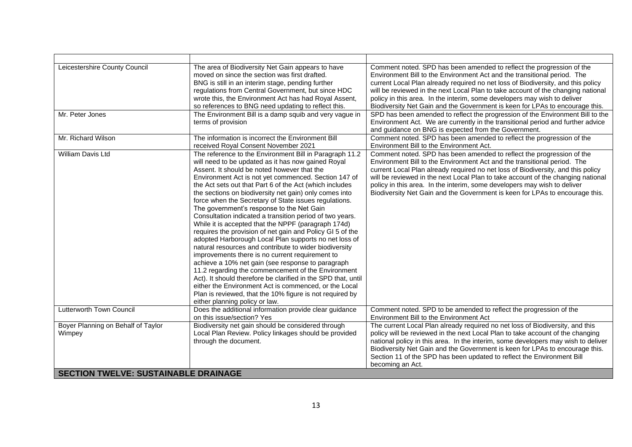| Leicestershire County Council                                                               | The area of Biodiversity Net Gain appears to have<br>moved on since the section was first drafted.<br>BNG is still in an interim stage, pending further<br>regulations from Central Government, but since HDC<br>wrote this, the Environment Act has had Royal Assent,<br>so references to BNG need updating to reflect this.                                                                                                                                                                                                                                                                                                                                                                                                                                                                                                                                                                                                                                                                                                                                                                                                            | Comment noted. SPD has been amended to reflect the progression of the<br>Environment Bill to the Environment Act and the transitional period. The<br>current Local Plan already required no net loss of Biodiversity, and this policy<br>will be reviewed in the next Local Plan to take account of the changing national<br>policy in this area. In the interim, some developers may wish to deliver<br>Biodiversity Net Gain and the Government is keen for LPAs to encourage this. |  |
|---------------------------------------------------------------------------------------------|------------------------------------------------------------------------------------------------------------------------------------------------------------------------------------------------------------------------------------------------------------------------------------------------------------------------------------------------------------------------------------------------------------------------------------------------------------------------------------------------------------------------------------------------------------------------------------------------------------------------------------------------------------------------------------------------------------------------------------------------------------------------------------------------------------------------------------------------------------------------------------------------------------------------------------------------------------------------------------------------------------------------------------------------------------------------------------------------------------------------------------------|---------------------------------------------------------------------------------------------------------------------------------------------------------------------------------------------------------------------------------------------------------------------------------------------------------------------------------------------------------------------------------------------------------------------------------------------------------------------------------------|--|
| Mr. Peter Jones                                                                             | The Environment Bill is a damp squib and very vague in<br>terms of provision                                                                                                                                                                                                                                                                                                                                                                                                                                                                                                                                                                                                                                                                                                                                                                                                                                                                                                                                                                                                                                                             | SPD has been amended to reflect the progression of the Environment Bill to the<br>Environment Act. We are currently in the transitional period and further advice<br>and guidance on BNG is expected from the Government.                                                                                                                                                                                                                                                             |  |
| Mr. Richard Wilson                                                                          | The information is incorrect the Environment Bill<br>received Roval Consent November 2021                                                                                                                                                                                                                                                                                                                                                                                                                                                                                                                                                                                                                                                                                                                                                                                                                                                                                                                                                                                                                                                | Comment noted. SPD has been amended to reflect the progression of the<br>Environment Bill to the Environment Act.                                                                                                                                                                                                                                                                                                                                                                     |  |
| William Davis Ltd                                                                           | The reference to the Environment Bill in Paragraph 11.2<br>will need to be updated as it has now gained Royal<br>Assent. It should be noted however that the<br>Environment Act is not yet commenced. Section 147 of<br>the Act sets out that Part 6 of the Act (which includes<br>the sections on biodiversity net gain) only comes into<br>force when the Secretary of State issues regulations.<br>The government's response to the Net Gain<br>Consultation indicated a transition period of two years.<br>While it is accepted that the NPPF (paragraph 174d)<br>requires the provision of net gain and Policy GI 5 of the<br>adopted Harborough Local Plan supports no net loss of<br>natural resources and contribute to wider biodiversity<br>improvements there is no current requirement to<br>achieve a 10% net gain (see response to paragraph<br>11.2 regarding the commencement of the Environment<br>Act). It should therefore be clarified in the SPD that, until<br>either the Environment Act is commenced, or the Local<br>Plan is reviewed, that the 10% figure is not required by<br>either planning policy or law. | Comment noted. SPD has been amended to reflect the progression of the<br>Environment Bill to the Environment Act and the transitional period. The<br>current Local Plan already required no net loss of Biodiversity, and this policy<br>will be reviewed in the next Local Plan to take account of the changing national<br>policy in this area. In the interim, some developers may wish to deliver<br>Biodiversity Net Gain and the Government is keen for LPAs to encourage this. |  |
| Lutterworth Town Council                                                                    | Does the additional information provide clear guidance<br>on this issue/section? Yes                                                                                                                                                                                                                                                                                                                                                                                                                                                                                                                                                                                                                                                                                                                                                                                                                                                                                                                                                                                                                                                     | Comment noted. SPD to be amended to reflect the progression of the<br>Environment Bill to the Environment Act                                                                                                                                                                                                                                                                                                                                                                         |  |
| Boyer Planning on Behalf of Taylor<br>Wimpey<br><b>SECTION TWELVE: SUSTAINABLE DRAINAGE</b> | Biodiversity net gain should be considered through<br>Local Plan Review. Policy linkages should be provided<br>through the document.                                                                                                                                                                                                                                                                                                                                                                                                                                                                                                                                                                                                                                                                                                                                                                                                                                                                                                                                                                                                     | The current Local Plan already required no net loss of Biodiversity, and this<br>policy will be reviewed in the next Local Plan to take account of the changing<br>national policy in this area. In the interim, some developers may wish to deliver<br>Biodiversity Net Gain and the Government is keen for LPAs to encourage this.<br>Section 11 of the SPD has been updated to reflect the Environment Bill<br>becoming an Act.                                                    |  |
|                                                                                             |                                                                                                                                                                                                                                                                                                                                                                                                                                                                                                                                                                                                                                                                                                                                                                                                                                                                                                                                                                                                                                                                                                                                          |                                                                                                                                                                                                                                                                                                                                                                                                                                                                                       |  |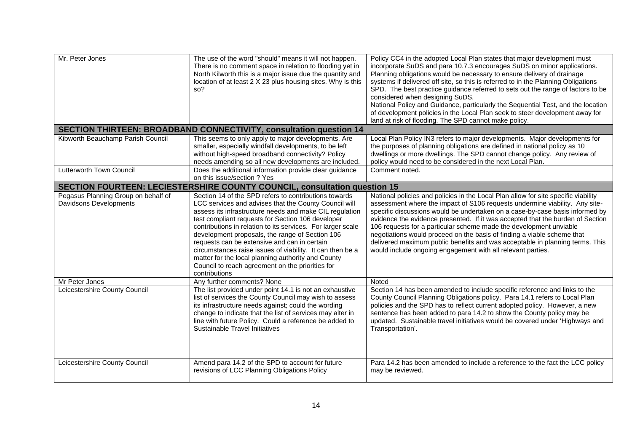| Mr. Peter Jones                                                           | The use of the word "should" means it will not happen.<br>There is no comment space in relation to flooding yet in<br>North Kilworth this is a major issue due the quantity and<br>location of at least 2 X 23 plus housing sites. Why is this<br>so?                                                                                                                                                                                                                                                                                                                                    | Policy CC4 in the adopted Local Plan states that major development must<br>incorporate SuDS and para 10.7.3 encourages SuDS on minor applications.<br>Planning obligations would be necessary to ensure delivery of drainage<br>systems if delivered off site, so this is referred to in the Planning Obligations<br>SPD. The best practice guidance referred to sets out the range of factors to be<br>considered when designing SuDS.<br>National Policy and Guidance, particularly the Sequential Test, and the location<br>of development policies in the Local Plan seek to steer development away for<br>land at risk of flooding. The SPD cannot make policy. |  |  |  |
|---------------------------------------------------------------------------|------------------------------------------------------------------------------------------------------------------------------------------------------------------------------------------------------------------------------------------------------------------------------------------------------------------------------------------------------------------------------------------------------------------------------------------------------------------------------------------------------------------------------------------------------------------------------------------|----------------------------------------------------------------------------------------------------------------------------------------------------------------------------------------------------------------------------------------------------------------------------------------------------------------------------------------------------------------------------------------------------------------------------------------------------------------------------------------------------------------------------------------------------------------------------------------------------------------------------------------------------------------------|--|--|--|
|                                                                           | <b>SECTION THIRTEEN: BROADBAND CONNECTIVITY, consultation question 14</b>                                                                                                                                                                                                                                                                                                                                                                                                                                                                                                                |                                                                                                                                                                                                                                                                                                                                                                                                                                                                                                                                                                                                                                                                      |  |  |  |
| Kibworth Beauchamp Parish Council                                         | This seems to only apply to major developments. Are<br>smaller, especially windfall developments, to be left<br>without high-speed broadband connectivity? Policy<br>needs amending so all new developments are included                                                                                                                                                                                                                                                                                                                                                                 | Local Plan Policy IN3 refers to major developments. Major developments for<br>the purposes of planning obligations are defined in national policy as 10<br>dwellings or more dwellings. The SPD cannot change policy. Any review of<br>policy would need to be considered in the next Local Plan.                                                                                                                                                                                                                                                                                                                                                                    |  |  |  |
| Lutterworth Town Council                                                  | Does the additional information provide clear guidance<br>on this issue/section ? Yes                                                                                                                                                                                                                                                                                                                                                                                                                                                                                                    | Comment noted.                                                                                                                                                                                                                                                                                                                                                                                                                                                                                                                                                                                                                                                       |  |  |  |
| SECTION FOURTEEN: LECIESTERSHIRE COUNTY COUNCIL, consultation question 15 |                                                                                                                                                                                                                                                                                                                                                                                                                                                                                                                                                                                          |                                                                                                                                                                                                                                                                                                                                                                                                                                                                                                                                                                                                                                                                      |  |  |  |
| Pegasus Planning Group on behalf of<br><b>Davidsons Developments</b>      | Section 14 of the SPD refers to contributions towards<br>LCC services and advises that the County Council will<br>assess its infrastructure needs and make CIL regulation<br>test compliant requests for Section 106 developer<br>contributions in relation to its services. For larger scale<br>development proposals, the range of Section 106<br>requests can be extensive and can in certain<br>circumstances raise issues of viability. It can then be a<br>matter for the local planning authority and County<br>Council to reach agreement on the priorities for<br>contributions | National policies and policies in the Local Plan allow for site specific viability<br>assessment where the impact of S106 requests undermine viability. Any site-<br>specific discussions would be undertaken on a case-by-case basis informed by<br>evidence the evidence presented. If it was accepted that the burden of Section<br>106 requests for a particular scheme made the development unviable<br>negotiations would proceed on the basis of finding a viable scheme that<br>delivered maximum public benefits and was acceptable in planning terms. This<br>would include ongoing engagement with all relevant parties.                                  |  |  |  |
| Mr Peter Jones                                                            | Any further comments? None                                                                                                                                                                                                                                                                                                                                                                                                                                                                                                                                                               | Noted                                                                                                                                                                                                                                                                                                                                                                                                                                                                                                                                                                                                                                                                |  |  |  |
| Leicestershire County Council                                             | The list provided under point 14.1 is not an exhaustive<br>list of services the County Council may wish to assess<br>its infrastructure needs against; could the wording<br>change to indicate that the list of services may alter in<br>line with future Policy. Could a reference be added to<br>Sustainable Travel Initiatives                                                                                                                                                                                                                                                        | Section 14 has been amended to include specific reference and links to the<br>County Council Planning Obligations policy. Para 14.1 refers to Local Plan<br>policies and the SPD has to reflect current adopted policy. However, a new<br>sentence has been added to para 14.2 to show the County policy may be<br>updated. Sustainable travel initiatives would be covered under 'Highways and<br>Transportation'.                                                                                                                                                                                                                                                  |  |  |  |
| Leicestershire County Council                                             | Amend para 14.2 of the SPD to account for future<br>revisions of LCC Planning Obligations Policy                                                                                                                                                                                                                                                                                                                                                                                                                                                                                         | Para 14.2 has been amended to include a reference to the fact the LCC policy<br>may be reviewed.                                                                                                                                                                                                                                                                                                                                                                                                                                                                                                                                                                     |  |  |  |